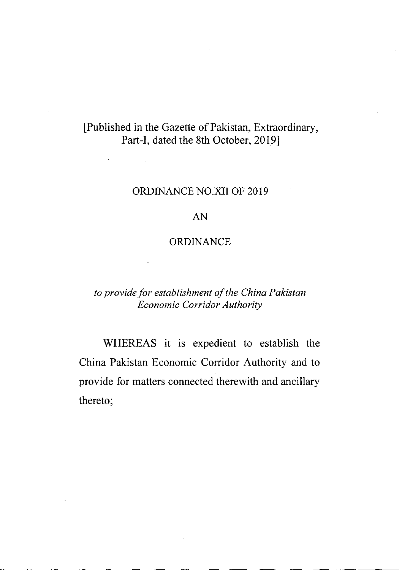# [Published in the Gazette of Pakistan, Extraordinary, Part-I, dated the 8th October, 2019]

### ORDINANCE NO.XII OF 2019

### AN

## ORDINANCE

## to provide for establishment of the China Pakistan Economic Corridor Authority

WHEREAS it is expedient to establish the China Pakistan Economic Corridor Authority and to provide for matters connected therewith and ancillary thereto;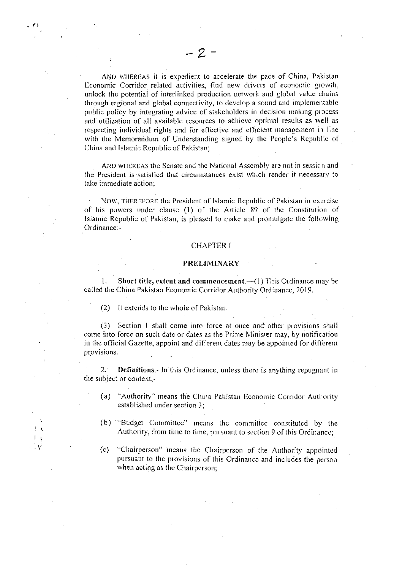AND WHEREAS it is expedient to accelerate the pace of China, Pakistan Economic Corridor related activities, find new drivers of economic growth, unlock the potential of interlinked production network and global value chains through regional and global connectivity, to develop a sound and implementable public policy by integrating advice of stakeholders in decision making process and utilization of all available resources to achieve optimal results as well as respecting individual rights and for effective and efficient management in line with the Memorandum of Understanding signed by the People's Republic of China and Islamic Republic of Pakistan;

AND WHEREAS the Senate and the National Assembly are not in session and the President is satisfied that circumstances exist which render it necessary to take immediate action;

NOW, THEREFORE the President of Islamic Republic of Pakistan in exercise of his powers under clause (1) of the Article 89 of the Constitution of Islamic Republic of Pakistan, is pleased to make and promulgate the following Ordinance -

#### **CHAPTER I**

#### PRELIMINARY

Short title, extent and commencement.- (1) This Ordinance may be  $\mathbf{1}$ . called the China Pakistan Economic Corridor Authority Ordinance, 2019.

 $(2)$ It extends to the whole of Pakistan.

(3) Section 1 shall come into force at once and other provisions shall come into force on such date or dates as the Prime Minister may, by notification in the official Gazette, appoint and different dates may be appointed for different provisions.

2. Definitions. In this Ordinance, unless there is anything repugnant in the subject or context,-

- (a) "Authority" means the China Pakistan Economic Corridor Authority established under section 3:
- (b) "Budget Committee" means the committee constituted by the Authority, from time to time, pursuant to section 9 of this Ordinance;
- "Chairperson" means the Chairperson of the Authority appointed  $(c)$ pursuant to the provisions of this Ordinance and includes the person when acting as the Chairperson;

 $\cdot$ ٧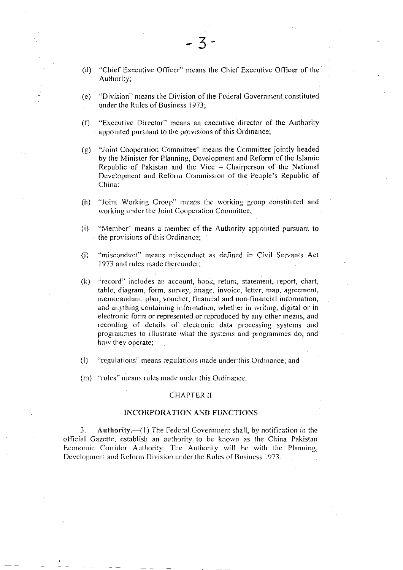- "Chief Executive Officer" means the Chief Executive Officer of the  $(d)$ Authority;
- "Division" means the Division of the Federal Government constituted  $(e)$ under the Rules of Business 1973;
- "Executive Director" means an executive director of the Authority  $(f)$ appointed pursuant to the provisions of this Ordinance;
- "Joint Cooperation Committee" means the Committee jointly headed  $(g)$ by the Minister for Planning, Development and Reform of the Islamic Republic of Pakistan and the Vice - Chairperson of the National Development and Reform Commission of the People's Republic of China:
- $(h)$ "Joint Working Group" means the working group constituted and working under the Joint Cooperation Committee;
- $(i)$ "Member" means a member of the Authority appointed pursuant to the provisions of this Ordinance;
- $(i)$ "misconduct" means misconduct as defined in Civil Servants Act 1973 and rules made thereunder:
- "record" includes an account, book, return, statement, report, chart,  $(k)$ table, diagram, form, survey, image, invoice, letter, map, agreement, memorandum, plan, voucher, financial and non-financial information, and anything containing information, whether in writing, digital or in electronic form or represented or reproduced by any other means, and recording of details of electronic data processing systems and programmes to illustrate what the systems and programmes do, and how they operate:
- "regulations" means regulations made under this Ordinance; and  $(1)$
- (m) "rules" means rules made under this Ordinance.

#### **CHAPTER II**

#### **INCORPORATION AND FUNCTIONS**

Authority. (1) The Federal Government shall, by notification in the 3. official Gazette, establish an authority to be known as the China Pakistan Economic Corridor Authority. The Authority will be with the Planning, Development and Reform Division under the Rules of Business 1973.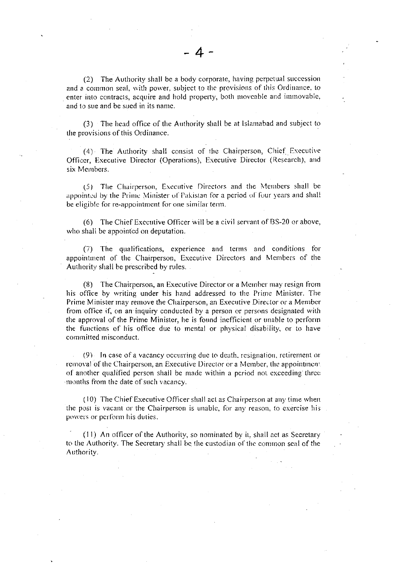(2) The Authority shall be a body corporate, having perpetual succession and a common seal, with power, subject to the provisions of this Ordinance, to enter into contracts, acquire and hold property, both moveable and immovable, and to sue and be sued in its name.

(3) The head office of the Authority shall be at Islamabad and subject to the provisions of this Ordinance.

(4) The Authority shall consist of the Chairperson, Chief Executive Officer, Executive Director (Operations), Executive Director (Research), and six Members.

(5) The Chairperson, Executive Directors and the Members shall be appointed by the Prime Minister of Pakistan for a period of four years and shall be eligible for re-appointment for one similar term.

(6) The Chief Executive Officer will be a civil servant of BS-20 or above, who shall be appointed on deputation.

(7) The qualifications, experience and terms and conditions for appointment of the Chairperson, Executive Directors and Members of the Authority shall be prescribed by rules.

(8) The Chairperson, an Executive Director or a Member may resign from his office by writing under his hand addressed to the Prime Minister. The Prime Minister may remove the Chairperson, an Executive Director or a Member from office if, on an inquiry conducted by a person or persons designated with the approval of the Prime Minister, he is found inefficient or unable to perform the functions of his office due to mental or physical disability, or to have committed misconduct.

(9) In case of a vacancy occurring due to death, resignation, retirement or removal of the Chairperson, an Executive Director or a Member, the appointment of another qualified person shall be made within a period not exceeding three months from the date of such vacancy.

(10) The Chief Executive Officer shall act as Chairperson at any time when the post is vacant or the Chairperson is unable, for any reason, to exercise his powers or perform his duties.

(11) An officer of the Authority, so nominated by it, shall act as Secretary to the Authority. The Secretary shall be the custodian of the common seal of the Authority.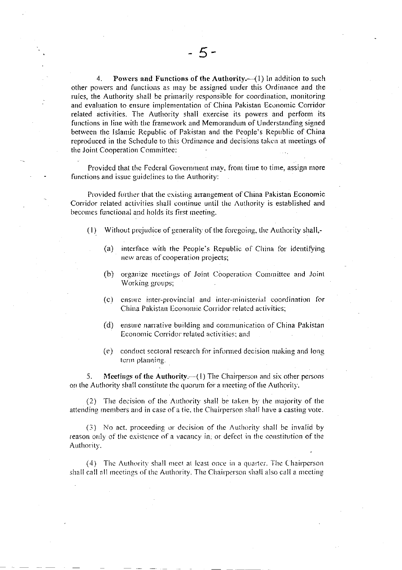$4.$ Powers and Functions of the Authority. $-(1)$  In addition to such other powers and functions as may be assigned under this Ordinance and the rules, the Authority shall be primarily responsible for coordination, monitoring and evaluation to ensure implementation of China Pakistan Economic Corridor related activities. The Authority shall exercise its powers and perform its functions in line with the framework and Memorandum of Understanding signed between the Islamic Republic of Pakistan and the People's Republic of China reproduced in the Schedule to this Ordinance and decisions taken at meetings of the Joint Cooperation Committee:

Provided that the Federal Government may, from time to time, assign more functions and issue guidelines to the Authority:

Provided further that the existing arrangement of China Pakistan Economic Corridor related activities shall continue until the Authority is established and becomes functional and holds its first meeting.

- $(1)$ Without prejudice of generality of the foregoing, the Authority shall,
	- interface with the People's Republic of China for identifying  $(a)$ new areas of cooperation projects;
	- $(b)$ organize meetings of Joint Cooperation Committee and Joint Working groups;
	- $(c)$ ensure inter-provincial and inter-ministerial coordination for China Pakistan Economic Corridor related activities;
	- (d) ensure narrative building and communication of China Pakistan Economic Corridor related activities; and
	- (e) conduct sectoral research for informed decision making and long term planning.

**Meetings of the Authority.**  $-$ (1) The Chairperson and six other persons 5. on the Authority shall constitute the quorum for a meeting of the Authority.

(2) The decision of the Authority shall be taken by the majority of the attending members and in case of a tie, the Chairperson shall have a casting vote.

(3) No act, proceeding or decision of the Authority shall be invalid by reason only of the existence of a vacancy in; or defect in the constitution of the Authority.

(4) The Authority shall meet at least once in a quarter. The Chairperson shall call all meetings of the Authority. The Chairperson shall also call a meeting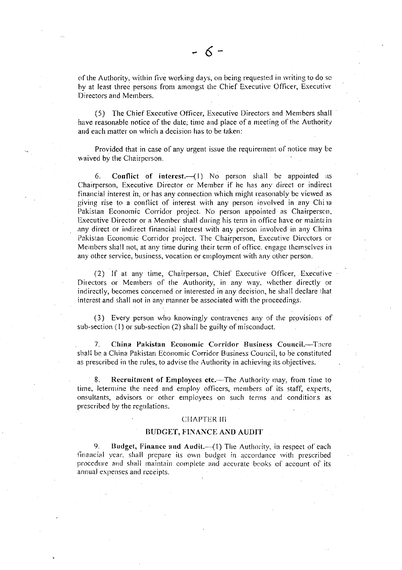of the Authority, within five working days, on being requested in writing to do so by at least three persons from amongst the Chief Executive Officer, Executive Directors and Members.

(5) The Chief Executive Officer, Executive Directors and Members shall have reasonable notice of the date; time and place of a meeting of the Authority and each matter on which a decision has to be taken:

Provided that in case of any urgent issue the requirement of notice may be waived by the Chairperson.

6. **Conflict** of interest. $-(1)$  No person shall be appointed as Chairperson, Executive Director or Member if he has any direct or indirect financial interest in, or has any connection which might reasonably be viewed as giving rise to a conflict of interest with any person involved in any China Pakistan Economic Corridor project. No person appointed as Chairperson, Executive Director or a Member shall during his term in office have or maintain any direct or indirect financial interest with any person involved in any China Pakistan Economic Corridor project. The Chairperson, Executive Directors or Members shall not, at any time during their term of office, engage themselves in any other service, business, vocation or employment with any other person.

(2) If at any time, Chairperson, Chief Executive Officer, Executive Directors or Members of the Authority, in any way, whether directly or indirectly, becomes concerned or interested in any decision, he shall declare that interest and shall not in any manner be associated with the proceedings.

(3) Every person who knowingly contravenes any of the provisions of sub-section  $(1)$  or sub-section  $(2)$  shall be guilty of misconduct.

 $7<sub>1</sub>$ China Pakistan Economic Corridor Business Council.-There shall be a China Pakistan Economic Corridor Business Council, to be constituted as prescribed in the rules, to advise the Authority in achieving its objectives.

Recruitment of Employees etc.—The Authority may, from time to  $8<sub>1</sub>$ time, letermine the need and employ officers, members of its staff, experts, onsultants, advisors or other employees on such terms and conditions as prescribed by the regulations.

#### **CHAPTER III**

#### **BUDGET, FINANCE AND AUDIT**

9. Budget, Finance and Audit.-(1) The Authority, in respect of each financial year, shall prepare its own budget in accordance with prescribed procedure and shall maintain complete and accurate books of account of its annual expenses and receipts.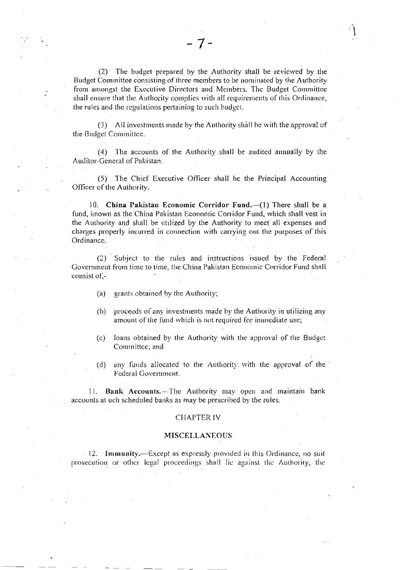(2) The budget prepared by the Authority shall be reviewed by the Budget Committee consisting of three members to be nominated by the Authority from amongst the Executive Directors and Members. The Budget Committee shall ensure that the Authority complies with all requirements of this Ordinance, the rules and the regulations pertaining to such budget.

 $7-$ 

(3) All investments made by the Authority shall be with the approval of the Budget Committee.

(4) The accounts of the Authority shall be audited annually by the Auditor-General of Pakistan.

(5) The Chief Executive Officer shall be the Principal Accounting Officer of the Authority.

10. China Pakistan Economic Corridor Fund.-(1) There shall be a fund, known as the China Pakistan Economic Corridor Fund, which shall vest in the Authority and shall be utilized by the Authority to meet all expenses and charges properly incurred in connection with carrying out the purposes of this Ordinance.

(2) Subject to the rules and instructions issued by the Federal Government from time to time, the China Pakistan Economic Corridor Fund shall consist of -

- grants obtained by the Authority;  $(a)$
- proceeds of any investments made by the Authority in utilizing any  $(b)$ amount of the fund which is not required for immediate use;
- loans obtained by the Authority with the approval of the Budget  $(c)$ Committee; and
- any funds allocated to the Authority with the approval of the  $(d)$ Federal Government.

11. Bank Accounts.-The Authority may open and maintain bank accounts at uch scheduled banks as may be prescribed by the rules.

#### **CHAPTER IV**

#### **MISCELLANEOUS**

12. Immunity.—Except as expressly provided in this Ordinance, no suit prosecution or other legal proceedings shall lie against the Authority, the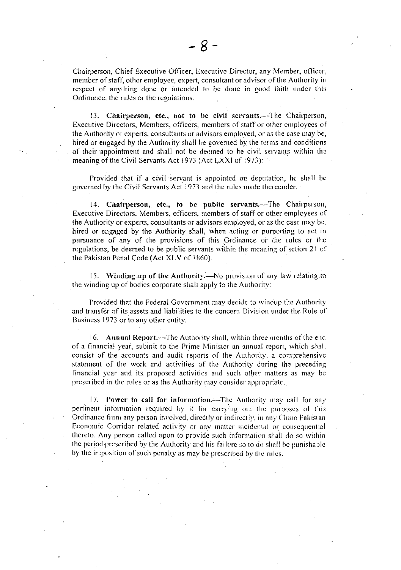Chairperson, Chief Executive Officer, Executive Director, any Member, officer, member of staff, other employee, expert, consultant or advisor of the Authority in respect of anything done or intended to be done in good faith under this Ordinance, the rules or the regulations.

13. Chairperson, etc., not to be civil servants.—The Chairperson, Executive Directors, Members, officers, members of staff or other employees of the Authority or experts, consultants or advisors employed, or as the case may be, hired or engaged by the Authority shall be governed by the terms and conditions of their appointment and shall not be decimed to be civil servants within the meaning of the Civil Servants Act 1973 (Act LXXI of 1973):

Provided that if a civil servant is appointed on deputation, he shall be governed by the Civil Servants Act 1973 and the rules made thereunder.

14. Chairperson, etc., to be public servants.-The Chairperson, Executive Directors, Members, officers, members of staff or other employees of the Authority or experts, consultants or advisors employed, or as the case may be, hired or engaged by the Authority shall, when acting or purporting to act in pursuance of any of the provisions of this Ordinance or the rules or the regulations, be deemed to be public servants within the meaning of sction 21 of the Pakistan Penal Code (Act XLV of 1860).

15. Winding up of the Authority.—No provision of any law relating to the winding up of bodies corporate shall apply to the Authority:

Provided that the Federal Government may decide to windup the Authority and transfer of its assets and liabilities to the concern Division under the Rule of Business 1973 or to any other entity.

16. Annual Report.-The Authority shall, within three months of the end of a financial vear, submit to the Prime Minister an annual report, which shall consist of the accounts and audit reports of the Authority, a comprehensive statement of the work and activities of the Authority during the preceding financial year and its proposed activities and such other matters as may be prescribed in the rules or as the Authority may consider appropriate.

17. Power to call for information. -- The Authority may call for any pertinent information required by it for carrying out the purposes of this Ordinance from any person involved, directly or indirectly, in any China Pakistan Economic Corridor related activity or any matter incidental or consequential thereto. Any person called upon to provide such information shall do so within the period prescribed by the Authority and his failure so to do shall be punishable by the imposition of such penalty as may be prescribed by the rules.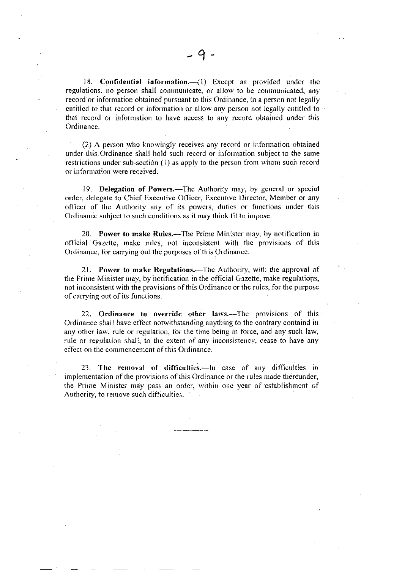18. Confidential information. $({}^{\prime})$  Except as provided under the regulations, no person shall communicate, or allow to be communicated, any record or information obtained pursuant to this Ordinance, to a person not legally entitled to that rccord or information or allow any pcrson not legally entitled to that record or inforrnation to have access to any record obtained under this Ordinance.

(2) A person who knowingly receives any record or information obtained under this Ordinance shall hold such record or inforrnation subject to the same restrictions under sub-section  $(1)$  as apply to the person from whom such record or information were received.

19. Delegation of Powers.—The Authority may, by general or special order, delegate to Chief Executive Officer, Executive Director, Member or any officer of the Authority any of its powers, duties or functions under this Ordinance subject to such conditions as it may think fit to impose.

20. Power to make Rules.—The Prime Minister may, by notification in official Gazette, make rules, not inconsistent with the provisions of this Ordinance. for carrying out the purposes of this Ordinance.

21. Power to make Regulations.—The Authority, with the approval of the Prime Minister may, by notification in the official Gazette, make regulations, not inconsistent with the provisions of this Ordinance or the rules, for the purpose of carrying out of its functions.

22. Ordinance to override other laws.—The provisions of this Ordinance shall have effect notwithstanding anything to the contrary containd in any other law, rule or regulation, for the time being in force, and any such law, rule or regulation shall, to the extent of any inconsistency, cease to have any effect on the commencement of this Ordinance.

23. The removal of difficulties.-In case of any difficulties in implementation of the provisions of this Ordinance or the rules made thereunder, the Prime Minister may pass an order, within one year of establishment of Authority, to remove such difficulties.